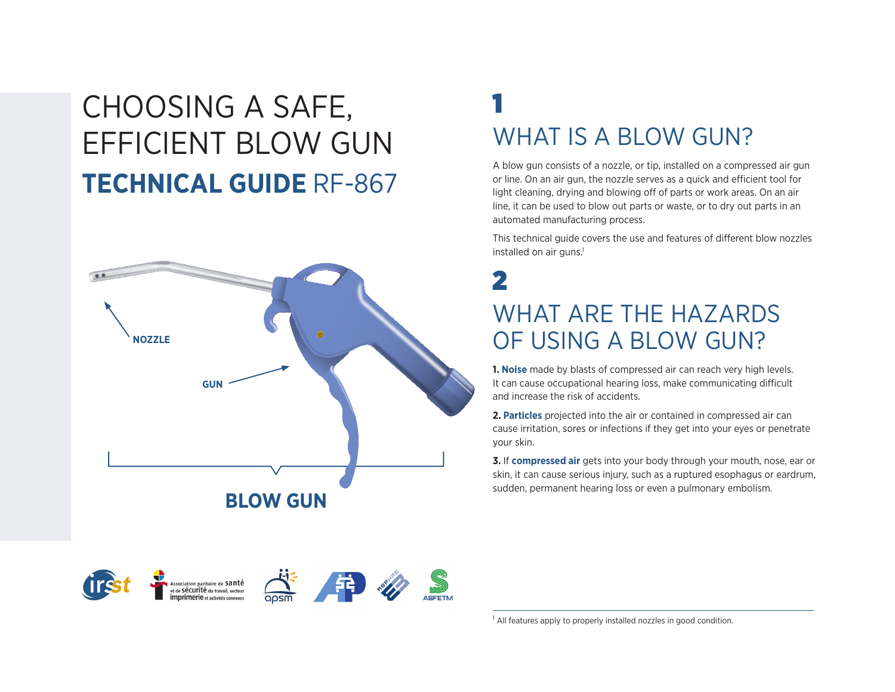# CHOOSING A SAFE, EFFICIENT BLOW GUN **TECHNICAL GUIDE** RF-867



## 1 WHAT IS A BLOW GUN?

A blow gun consists of a nozzle, or tip, installed on a compressed air gun or line. On an air gun, the nozzle serves as a quick and efficient tool for light cleaning, drying and blowing off of parts or work areas. On an air line, it can be used to blow out parts or waste, or to dry out parts in an automated manufacturing process.

This technical guide covers the use and features of different blow nozzles installed on air guns.<sup>1</sup>

### 2 WHAT ARE THE HAZARDS OF USING A BLOW GUN?

**1. Noise** made by blasts of compressed air can reach very high levels. It can cause occupational hearing loss, make communicating difficult and increase the risk of accidents.

**2. Particles** projected into the air or contained in compressed air can cause irritation, sores or infections if they get into your eyes or penetrate your skin.

**3.** If **compressed air** gets into your body through your mouth, nose, ear or skin, it can cause serious injury, such as a ruptured esophagus or eardrum, sudden, permanent hearing loss or even a pulmonary embolism.



ssociation paritaire de  $\mathsf{sant\acute{e}}$ de Sécurité du travail, secteur





<sup>1</sup> All features apply to properly installed nozzles in good condition.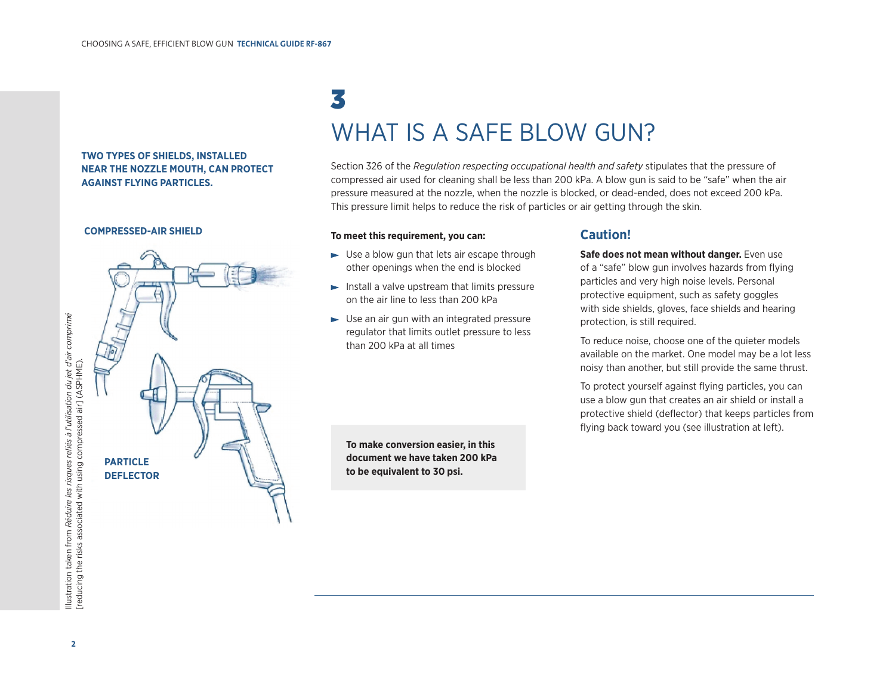#### **TWO TYPES OF SHIELDS, INSTALLED NEAR THE NOZZLE MOUTH, CAN PROTECT AGAINST FLYING PARTICLES.**

#### **COMPRESSED-AIR SHIELD**



## 3 WHAT IS A SAFE BLOW GUN?

Section 326 of the *Regulation respecting occupational health and safety* stipulates that the pressure of compressed air used for cleaning shall be less than 200 kPa. A blow gun is said to be "safe" when the air pressure measured at the nozzle, when the nozzle is blocked, or dead-ended, does not exceed 200 kPa. This pressure limit helps to reduce the risk of particles or air getting through the skin.

#### **To meet this requirement, you can:**

- $\blacktriangleright$  Use a blow gun that lets air escape through other openings when the end is blocked
- $\blacktriangleright$  Install a valve upstream that limits pressure on the air line to less than 200 kPa
- $\blacktriangleright$  Use an air gun with an integrated pressure regulator that limits outlet pressure to less than 200 kPa at all times

**To make conversion easier, in this document we have taken 200 kPa to be equivalent to 30 psi.**

#### **Caution!**

**Safe does not mean without danger.** Even use of a "safe" blow gun involves hazards from flying particles and very high noise levels. Personal protective equipment, such as safety goggles with side shields, gloves, face shields and hearing protection, is still required.

To reduce noise, choose one of the quieter models available on the market. One model may be a lot less noisy than another, but still provide the same thrust.

To protect yourself against flying particles, you can use a blow gun that creates an air shield or install a protective shield (deflector) that keeps particles from flying back toward you (see illustration at left).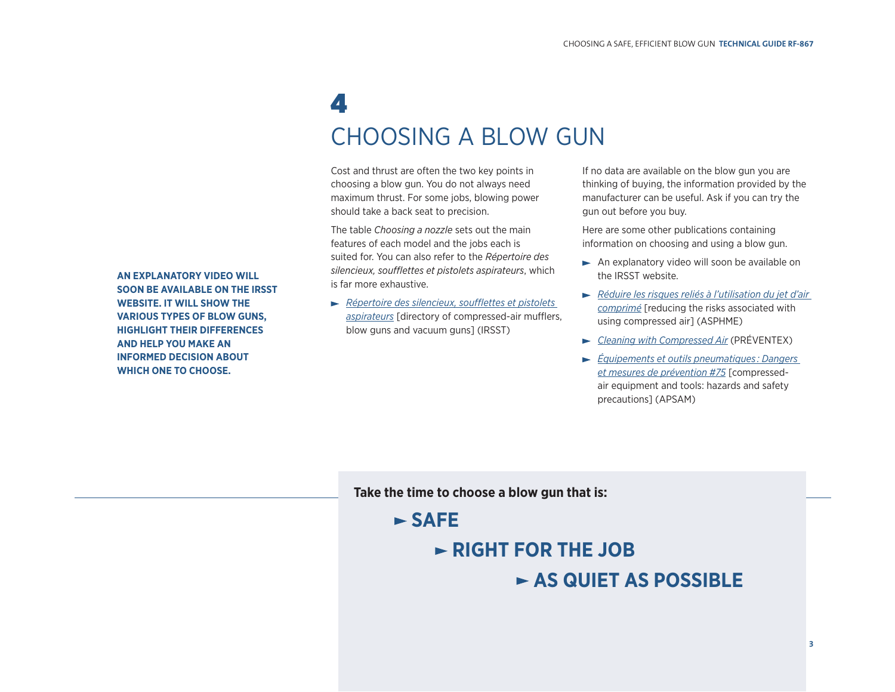### 4 CHOOSING A BLOW GUN

Cost and thrust are often the two key points in choosing a blow gun. You do not always need maximum thrust. For some jobs, blowing power should take a back seat to precision.

The table *Choosing a nozzle* sets out the main features of each model and the jobs each is suited for. You can also refer to the *Répertoire des silencieux, soufflettes et pistolets aspirateurs*, which is far more exhaustive.

*[Répertoire des silencieux, soufflettes et pistolets](http://www.irsst.qc.ca/-publication-irsst-mise-a-jour-du-repertoire-des-silencieux-soufflettes-et-pistolets-aspirateurs-r-612.html) aspirateurs* [directory of compressed-air mufflers, blow guns and vacuum guns] (IRSST)

If no data are available on the blow gun you are thinking of buying, the information provided by the manufacturer can be useful. Ask if you can try the gun out before you buy.

Here are some other publications containing information on choosing and using a blow gun.

- An explanatory video will soon be available on the IRSST website.
- *[Réduire les risques reliés à l'utilisation du jet d'air](http://www.asphme.org/upload/pdf/FTaircomp.pdf) comprimé* [reducing the risks associated with using compressed air] (ASPHME)
- *[Cleaning with Compressed Air](http://www.preventex.qc.ca/images/documents/info/fr/aircomp.pdf)* (PRÉVENTEX)
- *[Équipements et outils pneumatiques : Dangers](http://www.apsam.com/sites/default/files/docs/publications/ft75.pdf) et mesures de prévention #75* [compressedair equipment and tools: hazards and safety precautions] (APSAM)

**Take the time to choose a blow gun that is:**

### **SAFE**

### **RIGHT FOR THE JOB**

### **AS QUIET AS POSSIBLE**

**AN EXPLANATORY VIDEO WILL SOON BE AVAILABLE ON THE IRSST WEBSITE. IT WILL SHOW THE VARIOUS TYPES OF BLOW GUNS, HIGHLIGHT THEIR DIFFERENCES AND HELP YOU MAKE AN INFORMED DECISION ABOUT WHICH ONE TO CHOOSE.**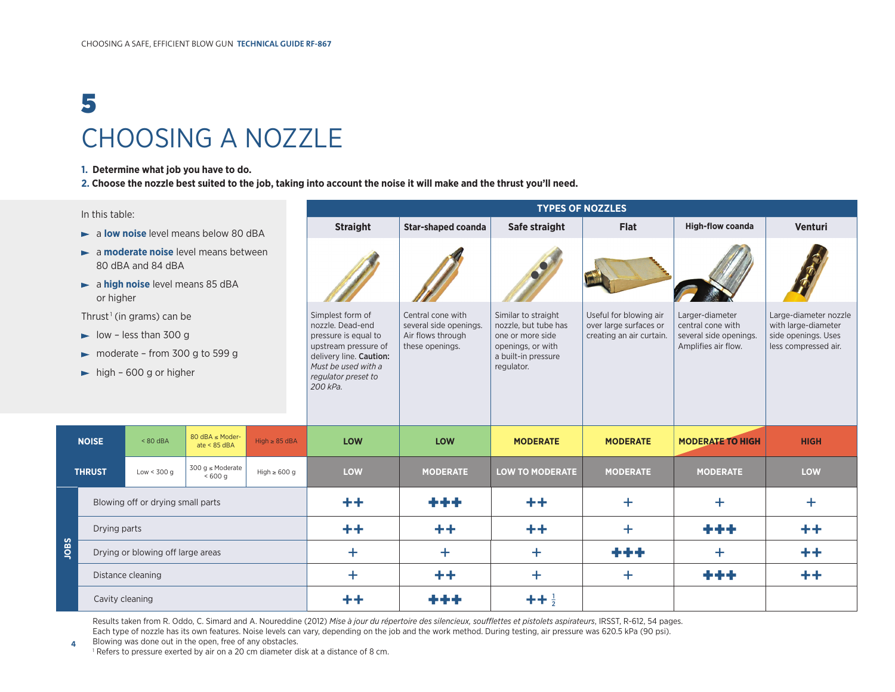# 5 CHOOSING A NOZZLE

#### **1. Determine what job you have to do.**

**2. Choose the nozzle best suited to the job, taking into account the noise it will make and the thrust you'll need.**

| In this table:                                                     |                                      |              |                                    |                    | <b>TYPES OF NOZZLES</b>                        |                                             |                                             |                                                  |                                               |                                              |
|--------------------------------------------------------------------|--------------------------------------|--------------|------------------------------------|--------------------|------------------------------------------------|---------------------------------------------|---------------------------------------------|--------------------------------------------------|-----------------------------------------------|----------------------------------------------|
|                                                                    | a low noise level means below 80 dBA |              |                                    |                    | <b>Straight</b>                                | Star-shaped coanda                          | Safe straight                               | <b>Flat</b>                                      | <b>High-flow coanda</b>                       | <b>Venturi</b>                               |
| a moderate noise level means between<br>80 dBA and 84 dBA          |                                      |              |                                    |                    |                                                |                                             |                                             |                                                  |                                               |                                              |
| $\blacktriangleright$ a high noise level means 85 dBA<br>or higher |                                      |              |                                    |                    |                                                |                                             |                                             |                                                  |                                               |                                              |
| Thrust <sup>1</sup> (in grams) can be                              |                                      |              |                                    |                    | Simplest form of<br>nozzle. Dead-end           | Central cone with<br>several side openings. | Similar to straight<br>nozzle, but tube has | Useful for blowing air<br>over large surfaces or | Larger-diameter<br>central cone with          | Large-diameter nozzle<br>with large-diameter |
| $\triangleright$ low - less than 300 g                             |                                      |              |                                    |                    | pressure is equal to<br>upstream pressure of   | Air flows through<br>these openings.        | one or more side<br>openings, or with       | creating an air curtain.                         | several side openings.<br>Amplifies air flow. | side openings. Uses<br>less compressed air.  |
| moderate - from 300 g to 599 g                                     |                                      |              |                                    |                    | delivery line. Caution:<br>Must be used with a |                                             | a built-in pressure                         |                                                  |                                               |                                              |
| $\blacktriangleright$ high - 600 g or higher                       |                                      |              |                                    |                    | regulator preset to<br>200 kPa.                |                                             | regulator.                                  |                                                  |                                               |                                              |
|                                                                    |                                      |              |                                    |                    |                                                |                                             |                                             |                                                  |                                               |                                              |
|                                                                    |                                      |              |                                    |                    |                                                |                                             |                                             |                                                  |                                               |                                              |
|                                                                    | <b>NOISE</b>                         | $< 80$ dBA   | 80 dBA ≤ Moder-<br>ate < $85$ dBA  | $High \geq 85$ dBA | <b>LOW</b>                                     | <b>LOW</b>                                  | <b>MODERATE</b>                             | <b>MODERATE</b>                                  | <b>MODERATE TO HIGH</b>                       | <b>HIGH</b>                                  |
| <b>THRUST</b>                                                      |                                      | Low < $300q$ | 300 g $\leq$ Moderate<br>$< 600$ g | High $\geq 600$ g  | <b>LOW</b>                                     | <b>MODERATE</b>                             | <b>LOW TO MODERATE</b>                      | <b>MODERATE</b>                                  | <b>MODERATE</b>                               | <b>LOW</b>                                   |
| <b>Saor</b>                                                        | Blowing off or drying small parts    |              |                                    |                    | $+ +$                                          | ومودع                                       | $^{\mathrm{+}}$                             | $\pm$                                            | $\pm$                                         | $\pm$                                        |
|                                                                    | Drying parts                         |              |                                    |                    | $^{\rm ++}$                                    | $\pm$                                       | $++$                                        | $\pm$                                            |                                               | $^{\rm ++}$                                  |
|                                                                    | Drying or blowing off large areas    |              |                                    |                    | $\ddot{}$                                      | $\pm$                                       | $+$                                         | ***                                              | $\pm$                                         | $^{\mathrm{+}}$                              |
|                                                                    | Distance cleaning                    |              |                                    |                    | $\ddot{}$                                      | $\pm$                                       | $\pm$                                       | $\pm$                                            | ***                                           | $\pm$                                        |
|                                                                    | Cavity cleaning                      |              |                                    |                    | $+ +$                                          |                                             | $+ + \frac{1}{2}$                           |                                                  |                                               |                                              |

Results taken from R. Oddo, C. Simard and A. Noureddine (2012) *Mise à jour du répertoire des silencieux, soufflettes et pistolets aspirateurs*, IRSST, R-612, 54 pages. Each type of nozzle has its own features. Noise levels can vary, depending on the job and the work method. During testing, air pressure was 620.5 kPa (90 psi).

**4** Blowing was done out in the open, free of any obstacles. <sup>1</sup> Refers to pressure exerted by air on a 20 cm diameter disk at a distance of 8 cm.